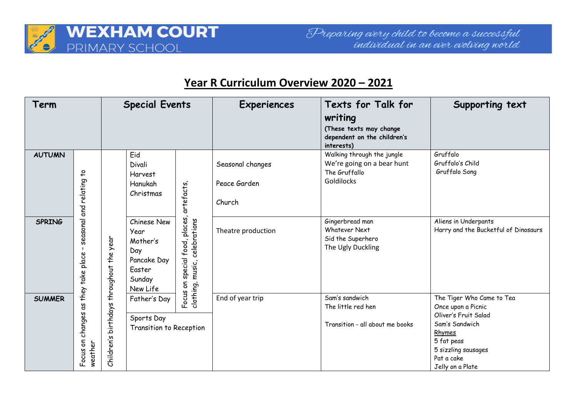

## **Year R Curriculum Overview 2020 – 2021**

| Term          |                                                                                                              | <b>Special Events</b>         |                                                                                       |                                                                        | <b>Experiences</b>                         | Texts for Talk for<br>writing<br>(These texts may change                                | Supporting text                                                                                                                                                            |
|---------------|--------------------------------------------------------------------------------------------------------------|-------------------------------|---------------------------------------------------------------------------------------|------------------------------------------------------------------------|--------------------------------------------|-----------------------------------------------------------------------------------------|----------------------------------------------------------------------------------------------------------------------------------------------------------------------------|
|               |                                                                                                              |                               |                                                                                       |                                                                        |                                            | dependent on the children's<br>interests)                                               |                                                                                                                                                                            |
| <b>AUTUMN</b> | $\overline{c}$<br>seasonal and relating<br>$\mathbf{I}$<br>changes as they take place<br>Focus on<br>weather | birthdays throughout the year | Eid<br>Divali<br><b>Harvest</b><br>Hanukah<br>Christmas                               | artefacts<br>places,<br>clothing, music, celebrations<br>special food, | Seasonal changes<br>Peace Garden<br>Church | Walking through the jungle<br>We're going on a bear hunt<br>The Gruffallo<br>Goldilocks | Gruffalo<br>Gruffalo's Child<br>Gruffalo Song                                                                                                                              |
| <b>SPRING</b> |                                                                                                              |                               | Chinese New<br>Year<br>Mother's<br>Day<br>Pancake Day<br>Easter<br>Sunday<br>New Life |                                                                        | Theatre production                         | Gingerbread man<br><b>Whatever Next</b><br>Sid the Superhero<br>The Ugly Duckling       | Aliens in Underpants<br>Harry and the Bucketful of Dinosaurs                                                                                                               |
| <b>SUMMER</b> |                                                                                                              | Children's                    | Father's Day<br>Sports Day<br>Transition to Reception                                 | Focus on                                                               | End of year trip                           | Sam's sandwich<br>The little red hen<br>Transition - all about me books                 | The Tiger Who Came to Tea<br>Once upon a Picnic<br>Oliver's Fruit Salad<br>Sam's Sandwich<br>Rhymes<br>5 fat peas<br>5 sizzling sausages<br>Pat a cake<br>Jelly on a Plate |